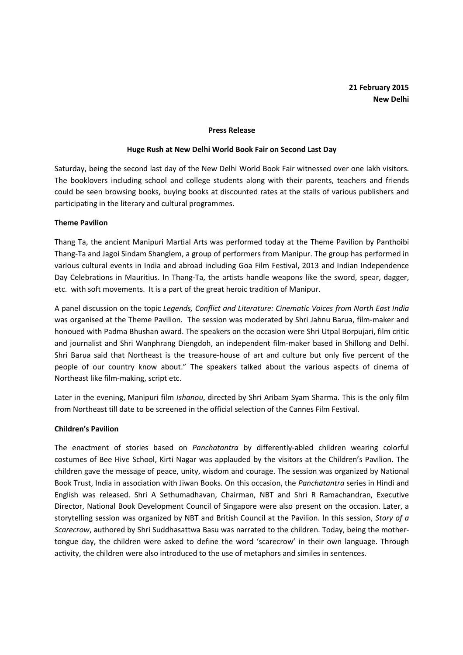# 21 February 2015 New Delhi

#### Press Release

#### Huge Rush at New Delhi World Book Fair on Second Last Day

Saturday, being the second last day of the New Delhi World Book Fair witnessed over one lakh visitors. The booklovers including school and college students along with their parents, teachers and friends could be seen browsing books, buying books at discounted rates at the stalls of various publishers and participating in the literary and cultural programmes.

## Theme Pavilion

Thang Ta, the ancient Manipuri Martial Arts was performed today at the Theme Pavilion by Panthoibi Thang-Ta and Jagoi Sindam Shanglem, a group of performers from Manipur. The group has performed in various cultural events in India and abroad including Goa Film Festival, 2013 and Indian Independence Day Celebrations in Mauritius. In Thang-Ta, the artists handle weapons like the sword, spear, dagger, etc. with soft movements. It is a part of the great heroic tradition of Manipur.

A panel discussion on the topic Legends, Conflict and Literature: Cinematic Voices from North East India was organised at the Theme Pavilion. The session was moderated by Shri Jahnu Barua, film-maker and honoued with Padma Bhushan award. The speakers on the occasion were Shri Utpal Borpujari, film critic and journalist and Shri Wanphrang Diengdoh, an independent film-maker based in Shillong and Delhi. Shri Barua said that Northeast is the treasure-house of art and culture but only five percent of the people of our country know about." The speakers talked about the various aspects of cinema of Northeast like film-making, script etc.

Later in the evening, Manipuri film Ishanou, directed by Shri Aribam Syam Sharma. This is the only film from Northeast till date to be screened in the official selection of the Cannes Film Festival.

### Children's Pavilion

The enactment of stories based on Panchatantra by differently-abled children wearing colorful costumes of Bee Hive School, Kirti Nagar was applauded by the visitors at the Children's Pavilion. The children gave the message of peace, unity, wisdom and courage. The session was organized by National Book Trust, India in association with Jiwan Books. On this occasion, the Panchatantra series in Hindi and English was released. Shri A Sethumadhavan, Chairman, NBT and Shri R Ramachandran, Executive Director, National Book Development Council of Singapore were also present on the occasion. Later, a storytelling session was organized by NBT and British Council at the Pavilion. In this session, Story of a Scarecrow, authored by Shri Suddhasattwa Basu was narrated to the children. Today, being the mothertongue day, the children were asked to define the word 'scarecrow' in their own language. Through activity, the children were also introduced to the use of metaphors and similes in sentences.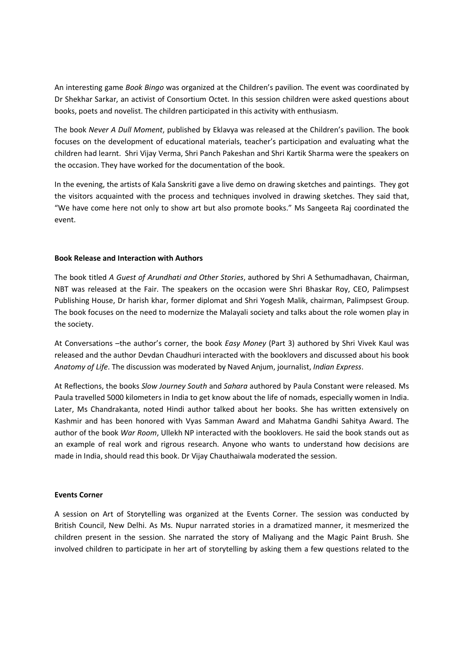An interesting game Book Bingo was organized at the Children's pavilion. The event was coordinated by Dr Shekhar Sarkar, an activist of Consortium Octet. In this session children were asked questions about books, poets and novelist. The children participated in this activity with enthusiasm.

The book Never A Dull Moment, published by Eklavya was released at the Children's pavilion. The book focuses on the development of educational materials, teacher's participation and evaluating what the children had learnt. Shri Vijay Verma, Shri Panch Pakeshan and Shri Kartik Sharma were the speakers on the occasion. They have worked for the documentation of the book.

In the evening, the artists of Kala Sanskriti gave a live demo on drawing sketches and paintings. They got the visitors acquainted with the process and techniques involved in drawing sketches. They said that, "We have come here not only to show art but also promote books." Ms Sangeeta Raj coordinated the event.

## Book Release and Interaction with Authors

The book titled A Guest of Arundhati and Other Stories, authored by Shri A Sethumadhavan, Chairman, NBT was released at the Fair. The speakers on the occasion were Shri Bhaskar Roy, CEO, Palimpsest Publishing House, Dr harish khar, former diplomat and Shri Yogesh Malik, chairman, Palimpsest Group. The book focuses on the need to modernize the Malayali society and talks about the role women play in the society.

At Conversations –the author's corner, the book Easy Money (Part 3) authored by Shri Vivek Kaul was released and the author Devdan Chaudhuri interacted with the booklovers and discussed about his book Anatomy of Life. The discussion was moderated by Naved Anjum, journalist, Indian Express.

At Reflections, the books Slow Journey South and Sahara authored by Paula Constant were released. Ms Paula travelled 5000 kilometers in India to get know about the life of nomads, especially women in India. Later, Ms Chandrakanta, noted Hindi author talked about her books. She has written extensively on Kashmir and has been honored with Vyas Samman Award and Mahatma Gandhi Sahitya Award. The author of the book War Room, Ullekh NP interacted with the booklovers. He said the book stands out as an example of real work and rigrous research. Anyone who wants to understand how decisions are made in India, should read this book. Dr Vijay Chauthaiwala moderated the session.

## Events Corner

A session on Art of Storytelling was organized at the Events Corner. The session was conducted by British Council, New Delhi. As Ms. Nupur narrated stories in a dramatized manner, it mesmerized the children present in the session. She narrated the story of Maliyang and the Magic Paint Brush. She involved children to participate in her art of storytelling by asking them a few questions related to the